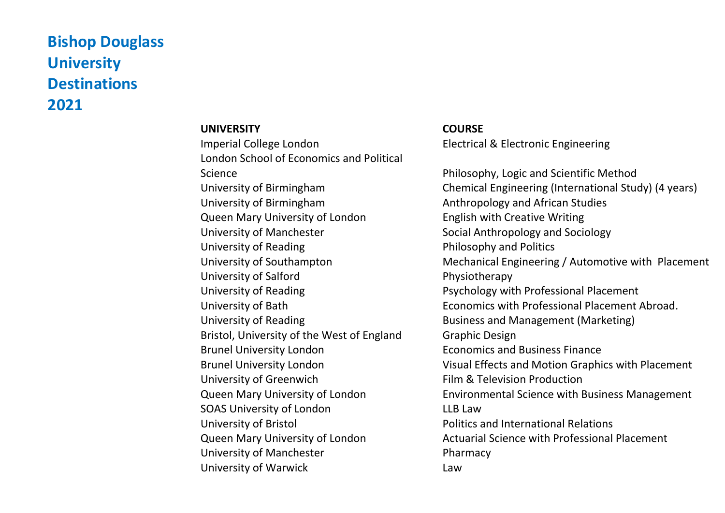## **Bishop Douglass University Destinations 2021**

## **UNIVERSITY COURSE** Imperial College London Electrical & Electronic Engineering London School of Economics and Political Science **Philosophy, Logic and Scientific Method** University of Birmingham Anthropology and African Studies Queen Mary University of London English with Creative Writing University of Manchester Social Anthropology and Sociology University of Reading The Philosophy and Politics University of Salford **Physiotherapy** University of Reading Professional Placement University of Reading **Business and Management (Marketing)** Bristol, University of the West of England Graphic Design Brunel University London Economics and Business Finance University of Greenwich **Film & Television Production** SOAS University of London **LACK CONGLUE CONTROLLY** LLB Law University of Bristol **Politics and International Relations** University of Manchester **Pharmacy** University of Warwick **Law**

University of Birmingham Chemical Engineering (International Study) (4 years) University of Southampton Mechanical Engineering / Automotive with Placement University of Bath Economics with Professional Placement Abroad. Brunel University London Visual Effects and Motion Graphics with Placement Queen Mary University of London Environmental Science with Business Management Queen Mary University of London Actuarial Science with Professional Placement